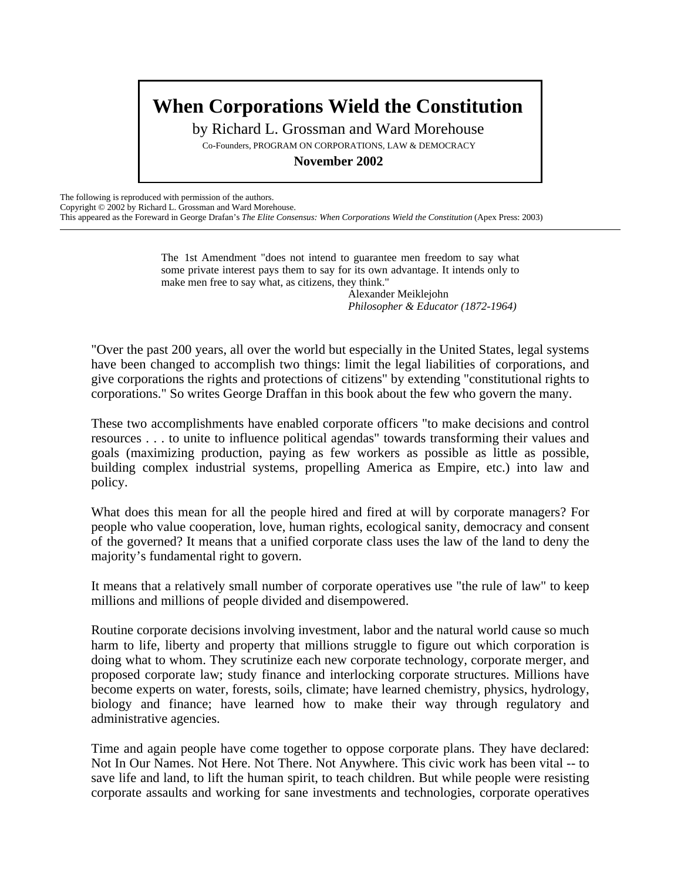## **When Corporations Wield the Constitution**

by Richard L. Grossman and Ward Morehouse Co-Founders, PROGRAM ON CORPORATIONS, LAW & DEMOCRACY

**November 2002** 

The following is reproduced with permission of the authors. Copyright © 2002 by Richard L. Grossman and Ward Morehouse. This appeared as the Foreward in George Drafan's *The Elite Consensus: When Corporations Wield the Constitution* (Apex Press: 2003)

> The 1st Amendment "does not intend to guarantee men freedom to say what some private interest pays them to say for its own advantage. It intends only to make men free to say what, as citizens, they think."

Alexander Meiklejohn *Philosopher & Educator (1872-1964)* 

"Over the past 200 years, all over the world but especially in the United States, legal systems have been changed to accomplish two things: limit the legal liabilities of corporations, and give corporations the rights and protections of citizens" by extending "constitutional rights to corporations." So writes George Draffan in this book about the few who govern the many.

These two accomplishments have enabled corporate officers "to make decisions and control resources . . . to unite to influence political agendas" towards transforming their values and goals (maximizing production, paying as few workers as possible as little as possible, building complex industrial systems, propelling America as Empire, etc.) into law and policy.

What does this mean for all the people hired and fired at will by corporate managers? For people who value cooperation, love, human rights, ecological sanity, democracy and consent of the governed? It means that a unified corporate class uses the law of the land to deny the majority's fundamental right to govern.

It means that a relatively small number of corporate operatives use "the rule of law" to keep millions and millions of people divided and disempowered.

Routine corporate decisions involving investment, labor and the natural world cause so much harm to life, liberty and property that millions struggle to figure out which corporation is doing what to whom. They scrutinize each new corporate technology, corporate merger, and proposed corporate law; study finance and interlocking corporate structures. Millions have become experts on water, forests, soils, climate; have learned chemistry, physics, hydrology, biology and finance; have learned how to make their way through regulatory and administrative agencies.

Time and again people have come together to oppose corporate plans. They have declared: Not In Our Names. Not Here. Not There. Not Anywhere. This civic work has been vital -- to save life and land, to lift the human spirit, to teach children. But while people were resisting corporate assaults and working for sane investments and technologies, corporate operatives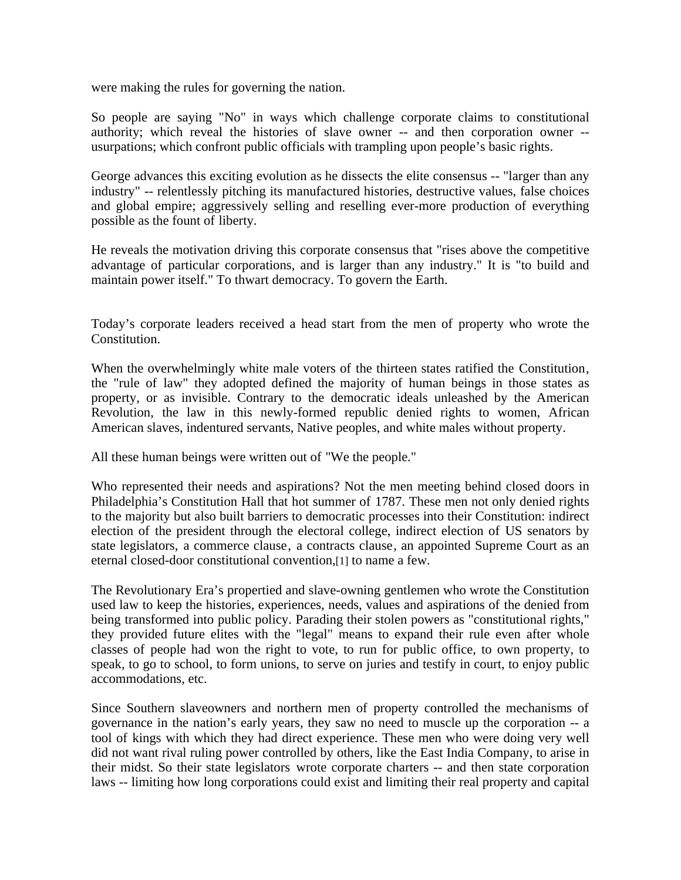were making the rules for governing the nation.

So people are saying "No" in ways which challenge corporate claims to constitutional authority; which reveal the histories of slave owner -- and then corporation owner - usurpations; which confront public officials with trampling upon people's basic rights.

George advances this exciting evolution as he dissects the elite consensus -- "larger than any industry" -- relentlessly pitching its manufactured histories, destructive values, false choices and global empire; aggressively selling and reselling ever-more production of everything possible as the fount of liberty.

He reveals the motivation driving this corporate consensus that "rises above the competitive advantage of particular corporations, and is larger than any industry." It is "to build and maintain power itself." To thwart democracy. To govern the Earth.

Today's corporate leaders received a head start from the men of property who wrote the Constitution.

When the overwhelmingly white male voters of the thirteen states ratified the Constitution, the "rule of law" they adopted defined the majority of human beings in those states as property, or as invisible. Contrary to the democratic ideals unleashed by the American Revolution, the law in this newly-formed republic denied rights to women, African American slaves, indentured servants, Native peoples, and white males without property.

All these human beings were written out of "We the people."

Who represented their needs and aspirations? Not the men meeting behind closed doors in Philadelphia's Constitution Hall that hot summer of 1787. These men not only denied rights to the majority but also built barriers to democratic processes into their Constitution: indirect election of the president through the electoral college, indirect election of US senators by state legislators, a commerce clause, a contracts clause, an appointed Supreme Court as an eternal closed-door constitutional convention,[1] to name a few.

The Revolutionary Era's propertied and slave-owning gentlemen who wrote the Constitution used law to keep the histories, experiences, needs, values and aspirations of the denied from being transformed into public policy. Parading their stolen powers as "constitutional rights," they provided future elites with the "legal" means to expand their rule even after whole classes of people had won the right to vote, to run for public office, to own property, to speak, to go to school, to form unions, to serve on juries and testify in court, to enjoy public accommodations, etc.

Since Southern slaveowners and northern men of property controlled the mechanisms of governance in the nation's early years, they saw no need to muscle up the corporation -- a tool of kings with which they had direct experience. These men who were doing very well did not want rival ruling power controlled by others, like the East India Company, to arise in their midst. So their state legislators wrote corporate charters -- and then state corporation laws -- limiting how long corporations could exist and limiting their real property and capital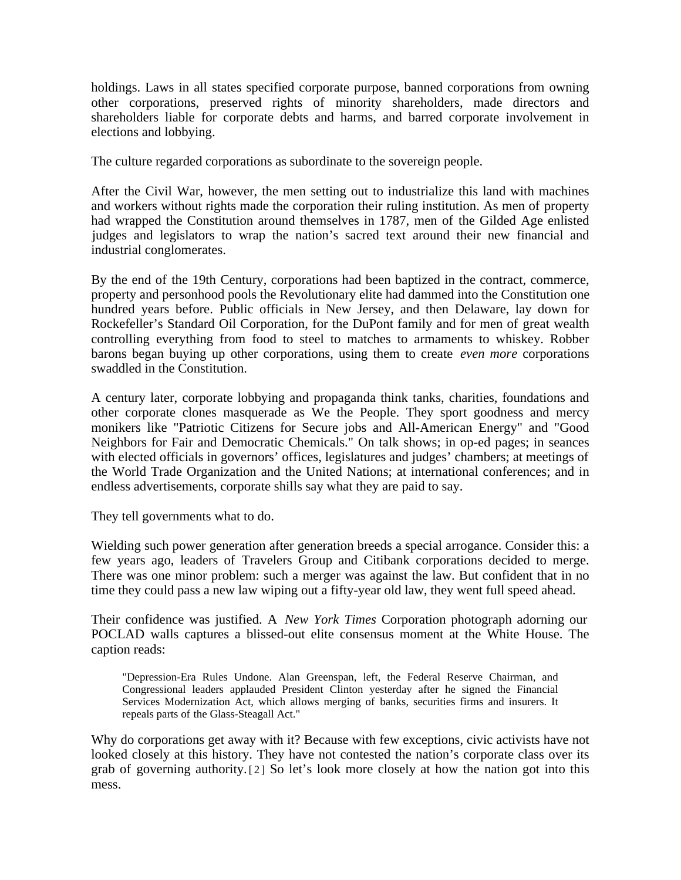holdings. Laws in all states specified corporate purpose, banned corporations from owning other corporations, preserved rights of minority shareholders, made directors and shareholders liable for corporate debts and harms, and barred corporate involvement in elections and lobbying.

The culture regarded corporations as subordinate to the sovereign people.

After the Civil War, however, the men setting out to industrialize this land with machines and workers without rights made the corporation their ruling institution. As men of property had wrapped the Constitution around themselves in 1787, men of the Gilded Age enlisted judges and legislators to wrap the nation's sacred text around their new financial and industrial conglomerates.

By the end of the 19th Century, corporations had been baptized in the contract, commerce, property and personhood pools the Revolutionary elite had dammed into the Constitution one hundred years before. Public officials in New Jersey, and then Delaware, lay down for Rockefeller's Standard Oil Corporation, for the DuPont family and for men of great wealth controlling everything from food to steel to matches to armaments to whiskey. Robber barons began buying up other corporations, using them to create *even more* corporations swaddled in the Constitution.

A century later, corporate lobbying and propaganda think tanks, charities, foundations and other corporate clones masquerade as We the People. They sport goodness and mercy monikers like "Patriotic Citizens for Secure jobs and All-American Energy" and "Good Neighbors for Fair and Democratic Chemicals." On talk shows; in op-ed pages; in seances with elected officials in governors' offices, legislatures and judges' chambers; at meetings of the World Trade Organization and the United Nations; at international conferences; and in endless advertisements, corporate shills say what they are paid to say.

They tell governments what to do.

Wielding such power generation after generation breeds a special arrogance. Consider this: a few years ago, leaders of Travelers Group and Citibank corporations decided to merge. There was one minor problem: such a merger was against the law. But confident that in no time they could pass a new law wiping out a fifty-year old law, they went full speed ahead.

Their confidence was justified. A *New York Times* Corporation photograph adorning our POCLAD walls captures a blissed-out elite consensus moment at the White House. The caption reads:

"Depression-Era Rules Undone. Alan Greenspan, left, the Federal Reserve Chairman, and Congressional leaders applauded President Clinton yesterday after he signed the Financial Services Modernization Act, which allows merging of banks, securities firms and insurers. It repeals parts of the Glass-Steagall Act."

Why do corporations get away with it? Because with few exceptions, civic activists have not looked closely at this history. They have not contested the nation's corporate class over its grab of governing authority.[2] So let's look more closely at how the nation got into this mess.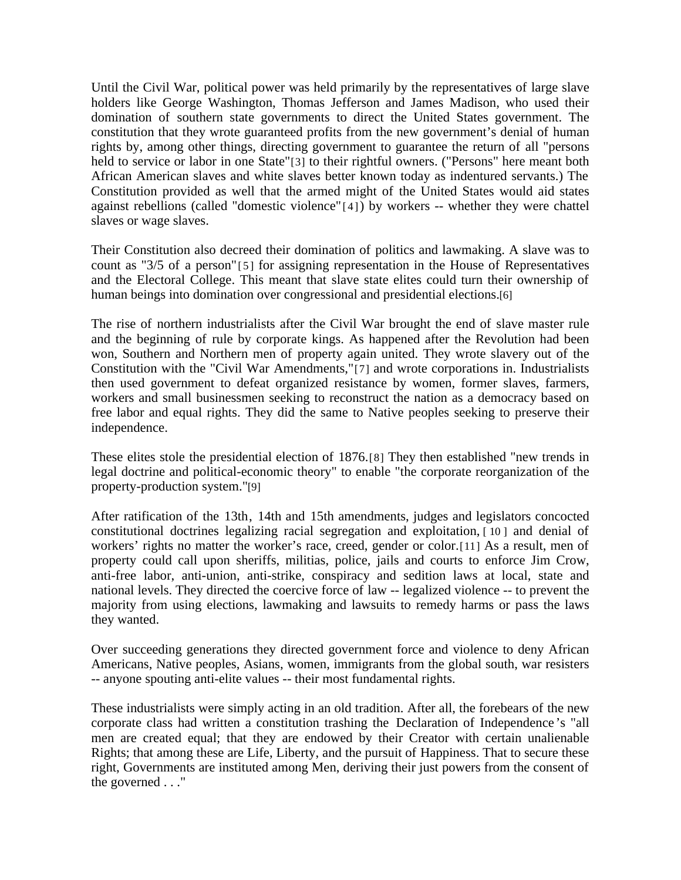Until the Civil War, political power was held primarily by the representatives of large slave holders like George Washington, Thomas Jefferson and James Madison, who used their domination of southern state governments to direct the United States government. The constitution that they wrote guaranteed profits from the new government's denial of human rights by, among other things, directing government to guarantee the return of all "persons held to service or labor in one State"[3] to their rightful owners. ("Persons" here meant both African American slaves and white slaves better known today as indentured servants.) The Constitution provided as well that the armed might of the United States would aid states against rebellions (called "domestic violence" [4]) by workers -- whether they were chattel slaves or wage slaves.

Their Constitution also decreed their domination of politics and lawmaking. A slave was to count as "3/5 of a person"[5] for assigning representation in the House of Representatives and the Electoral College. This meant that slave state elites could turn their ownership of human beings into domination over congressional and presidential elections.[6]

The rise of northern industrialists after the Civil War brought the end of slave master rule and the beginning of rule by corporate kings. As happened after the Revolution had been won, Southern and Northern men of property again united. They wrote slavery out of the Constitution with the "Civil War Amendments,"[7] and wrote corporations in. Industrialists then used government to defeat organized resistance by women, former slaves, farmers, workers and small businessmen seeking to reconstruct the nation as a democracy based on free labor and equal rights. They did the same to Native peoples seeking to preserve their independence.

These elites stole the presidential election of 1876.[8] They then established "new trends in legal doctrine and political-economic theory" to enable "the corporate reorganization of the property-production system."[9]

After ratification of the 13th, 14th and 15th amendments, judges and legislators concocted constitutional doctrines legalizing racial segregation and exploitation, [ 10 ] and denial of workers' rights no matter the worker's race, creed, gender or color.[11] As a result, men of property could call upon sheriffs, militias, police, jails and courts to enforce Jim Crow, anti-free labor, anti-union, anti-strike, conspiracy and sedition laws at local, state and national levels. They directed the coercive force of law -- legalized violence -- to prevent the majority from using elections, lawmaking and lawsuits to remedy harms or pass the laws they wanted.

Over succeeding generations they directed government force and violence to deny African Americans, Native peoples, Asians, women, immigrants from the global south, war resisters -- anyone spouting anti-elite values -- their most fundamental rights.

These industrialists were simply acting in an old tradition. After all, the forebears of the new corporate class had written a constitution trashing the Declaration of Independence 's "all men are created equal; that they are endowed by their Creator with certain unalienable Rights; that among these are Life, Liberty, and the pursuit of Happiness. That to secure these right, Governments are instituted among Men, deriving their just powers from the consent of the governed . . ."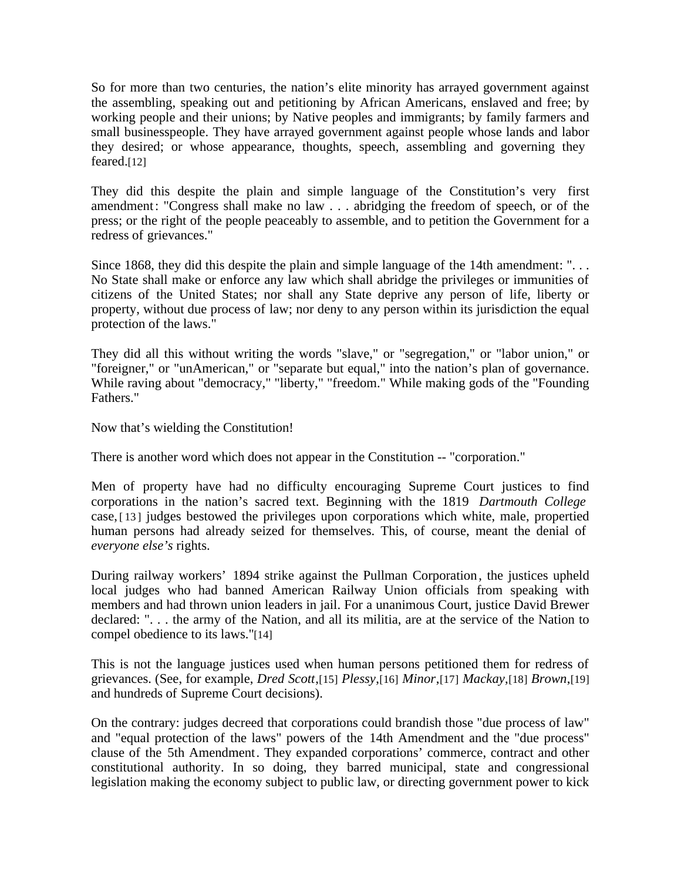So for more than two centuries, the nation's elite minority has arrayed government against the assembling, speaking out and petitioning by African Americans, enslaved and free; by working people and their unions; by Native peoples and immigrants; by family farmers and small businesspeople. They have arrayed government against people whose lands and labor they desired; or whose appearance, thoughts, speech, assembling and governing they feared.[12]

They did this despite the plain and simple language of the Constitution's very first amendment: "Congress shall make no law . . . abridging the freedom of speech, or of the press; or the right of the people peaceably to assemble, and to petition the Government for a redress of grievances."

Since 1868, they did this despite the plain and simple language of the 14th amendment: "... No State shall make or enforce any law which shall abridge the privileges or immunities of citizens of the United States; nor shall any State deprive any person of life, liberty or property, without due process of law; nor deny to any person within its jurisdiction the equal protection of the laws."

They did all this without writing the words "slave," or "segregation," or "labor union," or "foreigner," or "unAmerican," or "separate but equal," into the nation's plan of governance. While raving about "democracy," "liberty," "freedom." While making gods of the "Founding Fathers."

Now that's wielding the Constitution!

There is another word which does not appear in the Constitution -- "corporation."

Men of property have had no difficulty encouraging Supreme Court justices to find corporations in the nation's sacred text. Beginning with the 1819 *Dartmouth College* case,[ 13 ] judges bestowed the privileges upon corporations which white, male, propertied human persons had already seized for themselves. This, of course, meant the denial of *everyone else's* rights.

During railway workers' 1894 strike against the Pullman Corporation, the justices upheld local judges who had banned American Railway Union officials from speaking with members and had thrown union leaders in jail. For a unanimous Court, justice David Brewer declared: ". . . the army of the Nation, and all its militia, are at the service of the Nation to compel obedience to its laws."[14]

This is not the language justices used when human persons petitioned them for redress of grievances. (See, for example, *Dred Scott*,[15] *Plessy*,[16] *Minor*,[17] *Mackay*,[18] *Brown*,[19] and hundreds of Supreme Court decisions).

On the contrary: judges decreed that corporations could brandish those "due process of law" and "equal protection of the laws" powers of the 14th Amendment and the "due process" clause of the 5th Amendment. They expanded corporations' commerce, contract and other constitutional authority. In so doing, they barred municipal, state and congressional legislation making the economy subject to public law, or directing government power to kick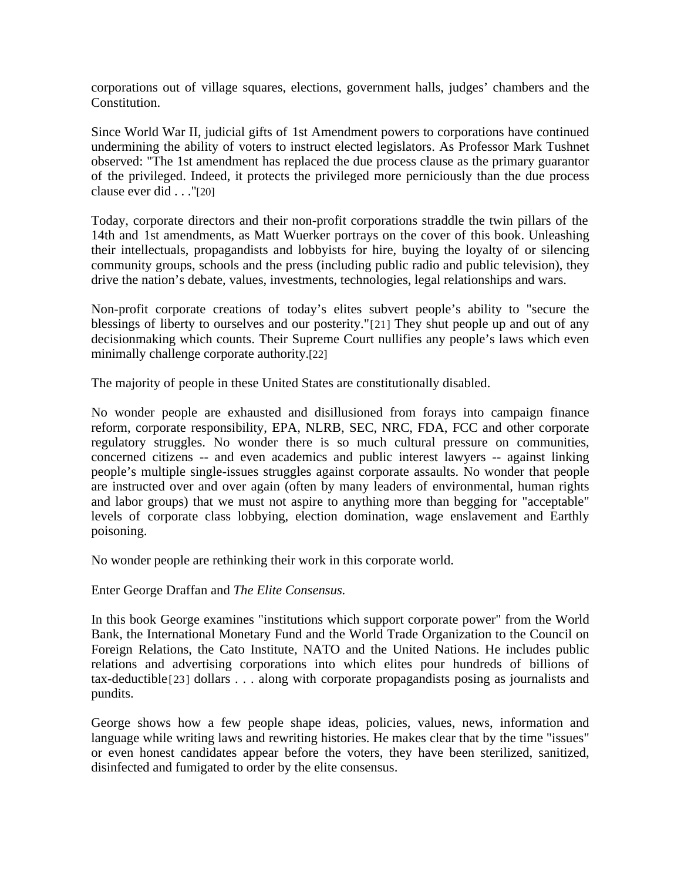corporations out of village squares, elections, government halls, judges' chambers and the Constitution.

Since World War II, judicial gifts of 1st Amendment powers to corporations have continued undermining the ability of voters to instruct elected legislators. As Professor Mark Tushnet observed: "The 1st amendment has replaced the due process clause as the primary guarantor of the privileged. Indeed, it protects the privileged more perniciously than the due process clause ever did . . ."[20]

Today, corporate directors and their non-profit corporations straddle the twin pillars of the 14th and 1st amendments, as Matt Wuerker portrays on the cover of this book. Unleashing their intellectuals, propagandists and lobbyists for hire, buying the loyalty of or silencing community groups, schools and the press (including public radio and public television), they drive the nation's debate, values, investments, technologies, legal relationships and wars.

Non-profit corporate creations of today's elites subvert people's ability to "secure the blessings of liberty to ourselves and our posterity."[21] They shut people up and out of any decisionmaking which counts. Their Supreme Court nullifies any people's laws which even minimally challenge corporate authority.[22]

The majority of people in these United States are constitutionally disabled.

No wonder people are exhausted and disillusioned from forays into campaign finance reform, corporate responsibility, EPA, NLRB, SEC, NRC, FDA, FCC and other corporate regulatory struggles. No wonder there is so much cultural pressure on communities, concerned citizens -- and even academics and public interest lawyers -- against linking people's multiple single-issues struggles against corporate assaults. No wonder that people are instructed over and over again (often by many leaders of environmental, human rights and labor groups) that we must not aspire to anything more than begging for "acceptable" levels of corporate class lobbying, election domination, wage enslavement and Earthly poisoning.

No wonder people are rethinking their work in this corporate world.

Enter George Draffan and *The Elite Consensus.*

In this book George examines "institutions which support corporate power" from the World Bank, the International Monetary Fund and the World Trade Organization to the Council on Foreign Relations, the Cato Institute, NATO and the United Nations. He includes public relations and advertising corporations into which elites pour hundreds of billions of tax-deductible[23] dollars . . . along with corporate propagandists posing as journalists and pundits.

George shows how a few people shape ideas, policies, values, news, information and language while writing laws and rewriting histories. He makes clear that by the time "issues" or even honest candidates appear before the voters, they have been sterilized, sanitized, disinfected and fumigated to order by the elite consensus.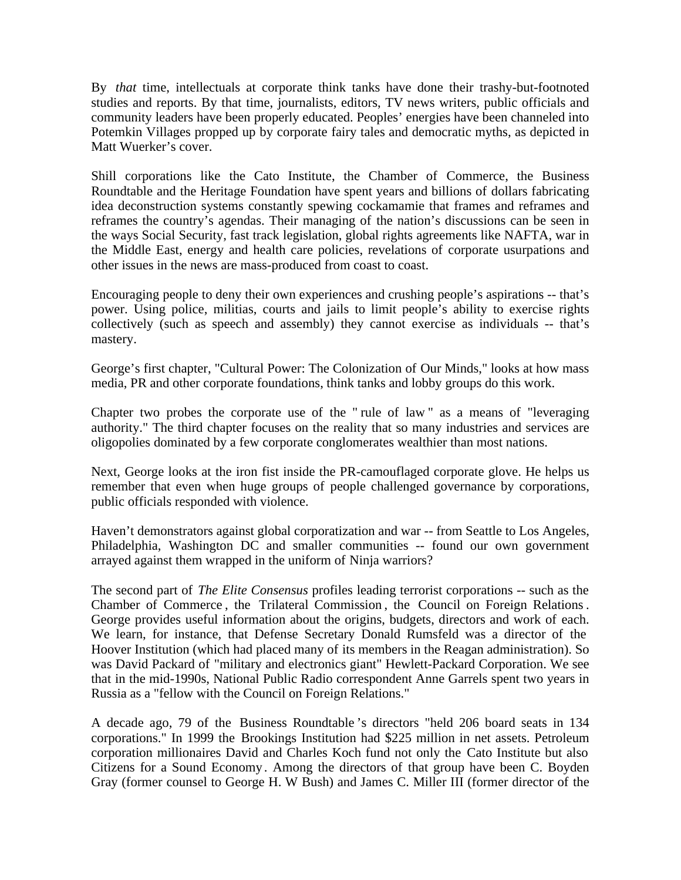By *that* time, intellectuals at corporate think tanks have done their trashy-but-footnoted studies and reports. By that time, journalists, editors, TV news writers, public officials and community leaders have been properly educated. Peoples' energies have been channeled into Potemkin Villages propped up by corporate fairy tales and democratic myths, as depicted in Matt Wuerker's cover.

Shill corporations like the Cato Institute, the Chamber of Commerce, the Business Roundtable and the Heritage Foundation have spent years and billions of dollars fabricating idea deconstruction systems constantly spewing cockamamie that frames and reframes and reframes the country's agendas. Their managing of the nation's discussions can be seen in the ways Social Security, fast track legislation, global rights agreements like NAFTA, war in the Middle East, energy and health care policies, revelations of corporate usurpations and other issues in the news are mass-produced from coast to coast.

Encouraging people to deny their own experiences and crushing people's aspirations -- that's power. Using police, militias, courts and jails to limit people's ability to exercise rights collectively (such as speech and assembly) they cannot exercise as individuals -- that's mastery.

George's first chapter, "Cultural Power: The Colonization of Our Minds," looks at how mass media, PR and other corporate foundations, think tanks and lobby groups do this work.

Chapter two probes the corporate use of the " rule of law " as a means of "leveraging authority." The third chapter focuses on the reality that so many industries and services are oligopolies dominated by a few corporate conglomerates wealthier than most nations.

Next, George looks at the iron fist inside the PR-camouflaged corporate glove. He helps us remember that even when huge groups of people challenged governance by corporations, public officials responded with violence.

Haven't demonstrators against global corporatization and war -- from Seattle to Los Angeles, Philadelphia, Washington DC and smaller communities -- found our own government arrayed against them wrapped in the uniform of Ninja warriors?

The second part of *The Elite Consensus* profiles leading terrorist corporations -- such as the Chamber of Commerce , the Trilateral Commission , the Council on Foreign Relations . George provides useful information about the origins, budgets, directors and work of each. We learn, for instance, that Defense Secretary Donald Rumsfeld was a director of the Hoover Institution (which had placed many of its members in the Reagan administration). So was David Packard of "military and electronics giant" Hewlett-Packard Corporation. We see that in the mid-1990s, National Public Radio correspondent Anne Garrels spent two years in Russia as a "fellow with the Council on Foreign Relations."

A decade ago, 79 of the Business Roundtable 's directors "held 206 board seats in 134 corporations." In 1999 the Brookings Institution had \$225 million in net assets. Petroleum corporation millionaires David and Charles Koch fund not only the Cato Institute but also Citizens for a Sound Economy . Among the directors of that group have been C. Boyden Gray (former counsel to George H. W Bush) and James C. Miller III (former director of the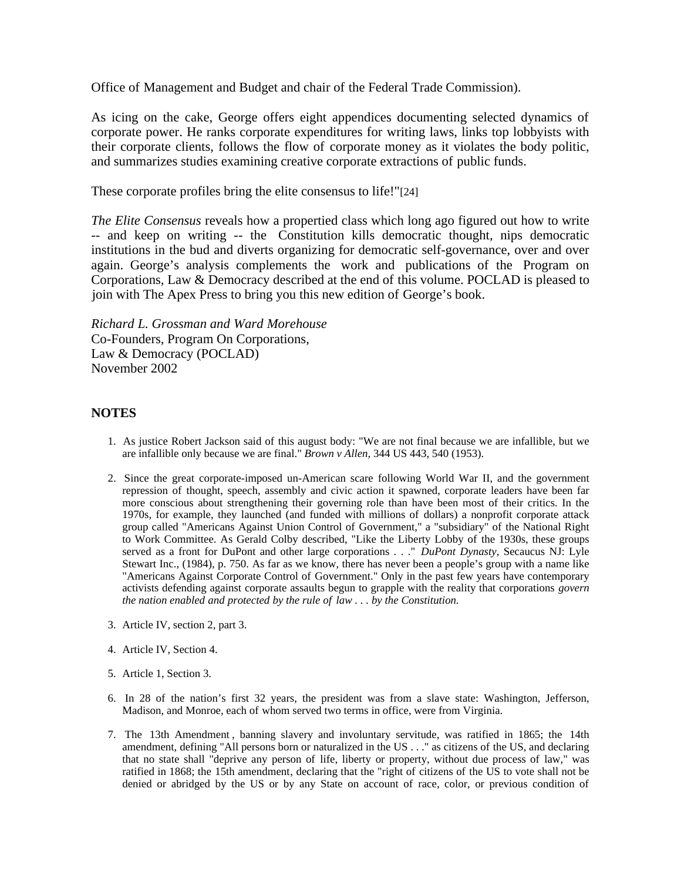Office of Management and Budget and chair of the Federal Trade Commission).

As icing on the cake, George offers eight appendices documenting selected dynamics of corporate power. He ranks corporate expenditures for writing laws, links top lobbyists with their corporate clients, follows the flow of corporate money as it violates the body politic, and summarizes studies examining creative corporate extractions of public funds.

These corporate profiles bring the elite consensus to life!"[24]

*The Elite Consensus* reveals how a propertied class which long ago figured out how to write -- and keep on writing -- the Constitution kills democratic thought, nips democratic institutions in the bud and diverts organizing for democratic self-governance, over and over again. George's analysis complements the work and publications of the Program on Corporations, Law & Democracy described at the end of this volume. POCLAD is pleased to join with The Apex Press to bring you this new edition of George's book.

*Richard L. Grossman and Ward Morehouse* Co-Founders, Program On Corporations, Law & Democracy (POCLAD) November 2002

## **NOTES**

- 1. As justice Robert Jackson said of this august body: "We are not final because we are infallible, but we are infallible only because we are final." *Brown v Allen,* 344 US 443, 540 (1953).
- 2. Since the great corporate-imposed un-American scare following World War II, and the government repression of thought, speech, assembly and civic action it spawned, corporate leaders have been far more conscious about strengthening their governing role than have been most of their critics. In the 1970s, for example, they launched (and funded with millions of dollars) a nonprofit corporate attack group called "Americans Against Union Control of Government," a "subsidiary" of the National Right to Work Committee. As Gerald Colby described, "Like the Liberty Lobby of the 1930s, these groups served as a front for DuPont and other large corporations . . ." *DuPont Dynasty,* Secaucus NJ: Lyle Stewart Inc., (1984), p. 750. As far as we know, there has never been a people's group with a name like "Americans Against Corporate Control of Government." Only in the past few years have contemporary activists defending against corporate assaults begun to grapple with the reality that corporations *govern the nation enabled and protected by the rule of law . . . by the Constitution.*
- 3. Article IV, section 2, part 3.
- 4. Article IV, Section 4.
- 5. Article 1, Section 3.
- 6. In 28 of the nation's first 32 years, the president was from a slave state: Washington, Jefferson, Madison, and Monroe, each of whom served two terms in office, were from Virginia.
- 7. The 13th Amendment , banning slavery and involuntary servitude, was ratified in 1865; the 14th amendment, defining "All persons born or naturalized in the US . . ." as citizens of the US, and declaring that no state shall "deprive any person of life, liberty or property, without due process of law," was ratified in 1868; the 15th amendment, declaring that the "right of citizens of the US to vote shall not be denied or abridged by the US or by any State on account of race, color, or previous condition of